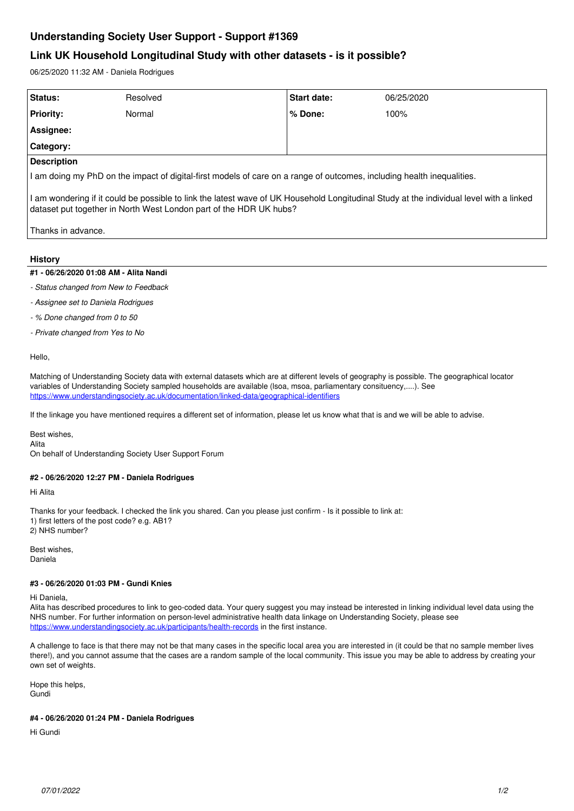# **Understanding Society User Support - Support #1369**

## **Link UK Household Longitudinal Study with other datasets - is it possible?**

06/25/2020 11:32 AM - Daniela Rodrigues

| Status:                                                                                                                                                                                                       | Resolved | <b>Start date:</b> | 06/25/2020 |
|---------------------------------------------------------------------------------------------------------------------------------------------------------------------------------------------------------------|----------|--------------------|------------|
| <b>Priority:</b>                                                                                                                                                                                              | Normal   | $%$ Done:          | 100%       |
| Assignee:                                                                                                                                                                                                     |          |                    |            |
| Category:                                                                                                                                                                                                     |          |                    |            |
| <b>Description</b>                                                                                                                                                                                            |          |                    |            |
| I am doing my PhD on the impact of digital-first models of care on a range of outcomes, including health inequalities.                                                                                        |          |                    |            |
| I am wondering if it could be possible to link the latest wave of UK Household Longitudinal Study at the individual level with a linked<br>dataset put together in North West London part of the HDR UK hubs? |          |                    |            |

Thanks in advance.

### **History**

#### **#1 - 06/26/2020 01:08 AM - Alita Nandi**

- *Status changed from New to Feedback*
- *Assignee set to Daniela Rodrigues*
- *% Done changed from 0 to 50*
- *Private changed from Yes to No*

Hello,

Matching of Understanding Society data with external datasets which are at different levels of geography is possible. The geographical locator variables of Understanding Society sampled households are available (lsoa, msoa, parliamentary consituency,....). See <https://www.understandingsociety.ac.uk/documentation/linked-data/geographical-identifiers>

If the linkage you have mentioned requires a different set of information, please let us know what that is and we will be able to advise.

Best wishes,

Alita

On behalf of Understanding Society User Support Forum

#### **#2 - 06/26/2020 12:27 PM - Daniela Rodrigues**

Hi Alita

Thanks for your feedback. I checked the link you shared. Can you please just confirm - Is it possible to link at: 1) first letters of the post code? e.g. AB1? 2) NHS number?

Best wishes, Daniela

#### **#3 - 06/26/2020 01:03 PM - Gundi Knies**

Hi Daniela,

Alita has described procedures to link to geo-coded data. Your query suggest you may instead be interested in linking individual level data using the NHS number. For further information on person-level administrative health data linkage on Understanding Society, please see <https://www.understandingsociety.ac.uk/participants/health-records> in the first instance.

A challenge to face is that there may not be that many cases in the specific local area you are interested in (it could be that no sample member lives there!), and you cannot assume that the cases are a random sample of the local community. This issue you may be able to address by creating your own set of weights.

Hope this helps, Gundi

#### **#4 - 06/26/2020 01:24 PM - Daniela Rodrigues**

Hi Gundi